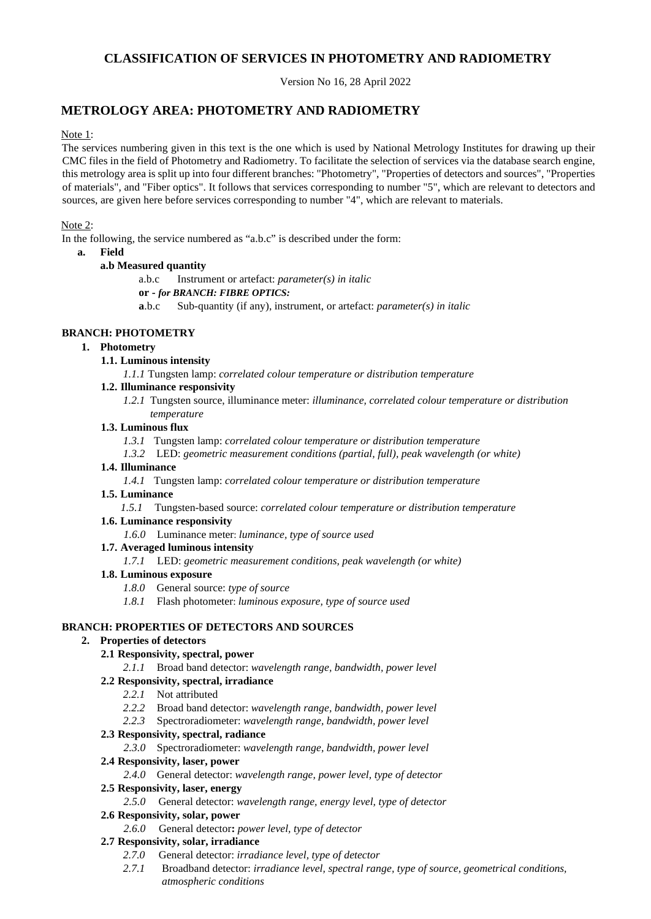# **CLASSIFICATION OF SERVICES IN PHOTOMETRY AND RADIOMETRY**

Version No 16, 28 April 2022

# **METROLOGY AREA: PHOTOMETRY AND RADIOMETRY**

# Note 1:

The services numbering given in this text is the one which is used by National Metrology Institutes for drawing up their CMC files in the field of Photometry and Radiometry. To facilitate the selection of services via the database search engine, this metrology area is split up into four different branches: "Photometry", "Properties of detectors and sources", "Properties of materials", and "Fiber optics". It follows that services corresponding to number "5", which are relevant to detectors and sources, are given here before services corresponding to number "4", which are relevant to materials.

# Note 2:

In the following, the service numbered as "a.b.c" is described under the form:

# **a. Field**

# **a.b Measured quantity**

a.b.c Instrument or artefact: *parameter(s) in italic* **or -** *for BRANCH: FIBRE OPTICS:*  **a**.b.c Sub-quantity (if any), instrument, or artefact: *parameter(s) in italic*

# **BRANCH: PHOTOMETRY**

# **1. Photometry**

**1.1. Luminous intensity**

*1.1.1* Tungsten lamp: *correlated colour temperature or distribution temperature*

# **1.2. Illuminance responsivity**

*1.2.1* Tungsten source, illuminance meter: *illuminance, correlated colour temperature or distribution temperature*

# **1.3. Luminous flux**

- *1.3.1* Tungsten lamp: *correlated colour temperature or distribution temperature*
- *1.3.2* LED: *geometric measurement conditions (partial, full), peak wavelength (or white)*

# **1.4. Illuminance**

*1.4.1* Tungsten lamp: *correlated colour temperature or distribution temperature*

#### **1.5. Luminance**

*1.5.1* Tungsten-based source: *correlated colour temperature or distribution temperature*

# **1.6. Luminance responsivity**

*1.6.0* Luminance meter: *luminance, type of source used* 

# **1.7. Averaged luminous intensity**

*1.7.1* LED: *geometric measurement conditions, peak wavelength (or white)* 

# **1.8. Luminous exposure**

- *1.8.0* General source: *type of source*
- *1.8.1* Flash photometer: *luminous exposure, type of source used*

# **BRANCH: PROPERTIES OF DETECTORS AND SOURCES**

# **2. Properties of detectors**

# **2.1 Responsivity, spectral, power**

*2.1.1* Broad band detector: *wavelength range, bandwidth, power level* 

# **2.2 Responsivity, spectral, irradiance**

- *2.2.1* Not attributed
- *2.2.2* Broad band detector: *wavelength range, bandwidth, power level*
- *2.2.3* Spectroradiometer: *wavelength range, bandwidth, power level*

# **2.3 Responsivity, spectral, radiance**

*2.3.0* Spectroradiometer: *wavelength range, bandwidth, power level* 

#### **2.4 Responsivity, laser, power**

*2.4.0* General detector: *wavelength range, power level, type of detector* 

# **2.5 Responsivity, laser, energy**

*2.5.0* General detector: *wavelength range, energy level, type of detector* 

# **2.6 Responsivity, solar, power**

*2.6.0* General detector**:** *power level, type of detector* 

# **2.7 Responsivity, solar, irradiance**

- *2.7.0* General detector: *irradiance level, type of detector*
- *2.7.1* Broadband detector: *irradiance level, spectral range, type of source, geometrical conditions, atmospheric conditions*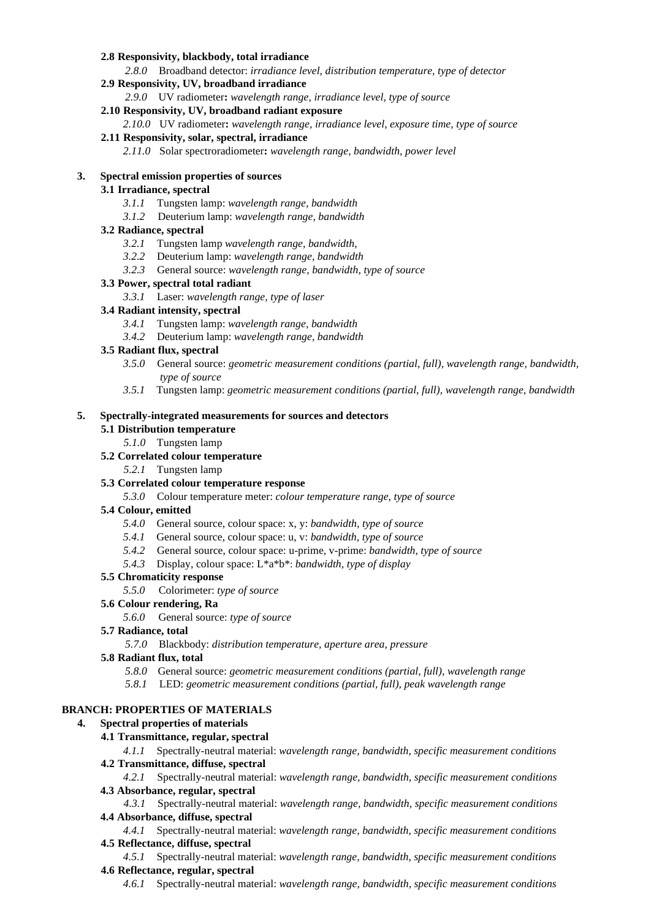#### **2.8 Responsivity, blackbody, total irradiance**

*2.8.0* Broadband detector: *irradiance level, distribution temperature, type of detector* 

### **2.9 Responsivity, UV, broadband irradiance**

*2.9.0* UV radiometer**:** *wavelength range, irradiance level, type of source* 

#### **2.10 Responsivity, UV, broadband radiant exposure**

*2.10.0* UV radiometer**:** *wavelength range, irradiance level, exposure time, type of source* 

#### **2.11 Responsivity, solar, spectral, irradiance**

*2.11.0* Solar spectroradiometer**:** *wavelength range, bandwidth, power level* 

### **3. Spectral emission properties of sources**

### **3.1 Irradiance, spectral**

- *3.1.1* Tungsten lamp: *wavelength range, bandwidth*
- *3.1.2* Deuterium lamp: *wavelength range, bandwidth*

# **3.2 Radiance, spectral**

- *3.2.1* Tungsten lamp *wavelength range, bandwidth,*
- *3.2.2* Deuterium lamp: *wavelength range, bandwidth*
- *3.2.3* General source: *wavelength range, bandwidth, type of source*

# **3.3 Power, spectral total radiant**

*3.3.1* Laser: *wavelength range, type of laser* 

# **3.4 Radiant intensity, spectral**

- *3.4.1* Tungsten lamp: *wavelength range, bandwidth*
- *3.4.2* Deuterium lamp: *wavelength range, bandwidth*

# **3.5 Radiant flux, spectral**

- *3.5.0* General source: *geometric measurement conditions (partial, full), wavelength range, bandwidth, type of source*
- *3.5.1* Tungsten lamp: *geometric measurement conditions (partial, full), wavelength range, bandwidth*

#### **5. Spectrally-integrated measurements for sources and detectors**

# **5.1 Distribution temperature**

*5.1.0* Tungsten lamp

# **5.2 Correlated colour temperature**

*5.2.1* Tungsten lamp

#### **5.3 Correlated colour temperature response**

*5.3.0* Colour temperature meter: *colour temperature range, type of source* 

# **5.4 Colour, emitted**

- *5.4.0* General source, colour space: x, y: *bandwidth, type of source*
- *5.4.1* General source, colour space: u, v: *bandwidth, type of source*
- *5.4.2* General source, colour space: u-prime, v-prime: *bandwidth, type of source*
- *5.4.3* Display, colour space: L\*a\*b\*: *bandwidth, type of display*

# **5.5 Chromaticity response**

*5.5.0* Colorimeter: *type of source* 

#### **5.6 Colour rendering, Ra**

*5.6.0* General source: *type of source* 

#### **5.7 Radiance, total**

*5.7.0* Blackbody: *distribution temperature, aperture area, pressure* 

#### **5.8 Radiant flux, total**

- *5.8.0* General source: *geometric measurement conditions (partial, full), wavelength range*
- *5.8.1* LED: *geometric measurement conditions (partial, full), peak wavelength range*

# **BRANCH: PROPERTIES OF MATERIALS**

# **4. Spectral properties of materials**

#### **4.1 Transmittance, regular, spectral**

*4.1.1* Spectrally-neutral material: *wavelength range, bandwidth, specific measurement conditions*  **4.2 Transmittance, diffuse, spectral** 

*4.2.1* Spectrally-neutral material: *wavelength range, bandwidth, specific measurement conditions*  **4.3 Absorbance, regular, spectral** 

*4.3.1* Spectrally-neutral material: *wavelength range, bandwidth, specific measurement conditions*  **4.4 Absorbance, diffuse, spectral** 

*4.4.1* Spectrally-neutral material: *wavelength range, bandwidth, specific measurement conditions*  **4.5 Reflectance, diffuse, spectral** 

*4.5.1* Spectrally-neutral material: *wavelength range, bandwidth, specific measurement conditions*  **4.6 Reflectance, regular, spectral** 

*4.6.1* Spectrally-neutral material: *wavelength range, bandwidth, specific measurement conditions*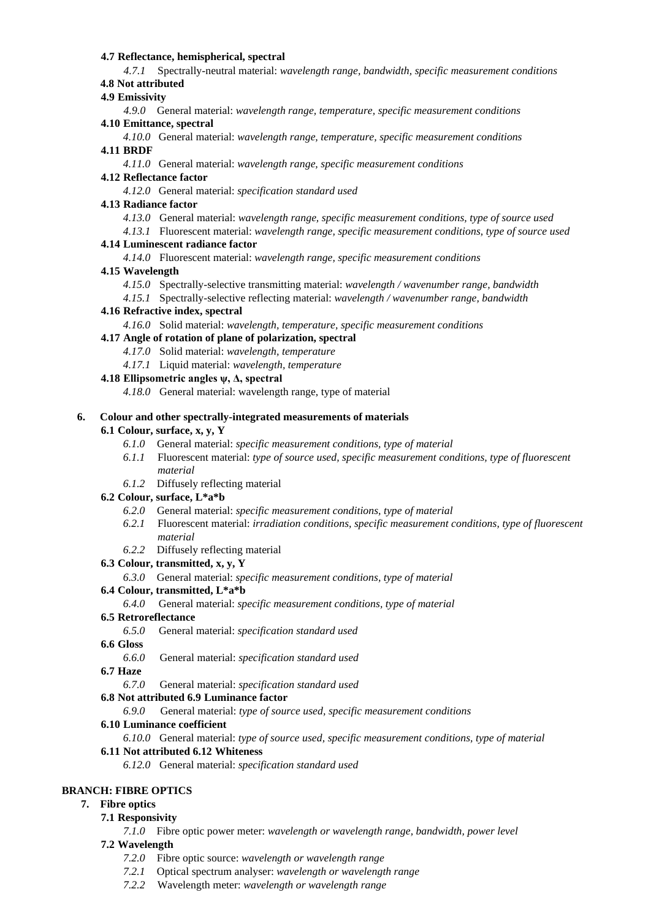### **4.7 Reflectance, hemispherical, spectral**

*4.7.1* Spectrally-neutral material: *wavelength range, bandwidth, specific measurement conditions*  **4.8 Not attributed** 

# **4.9 Emissivity**

*4.9.0* General material: *wavelength range, temperature, specific measurement conditions*  **4.10 Emittance, spectral** 

*4.10.0* General material: *wavelength range, temperature, specific measurement conditions*  **4.11 BRDF** 

*4.11.0* General material: *wavelength range, specific measurement conditions* 

# **4.12 Reflectance factor**

*4.12.0* General material: *specification standard used* 

# **4.13 Radiance factor**

- *4.13.0* General material: *wavelength range, specific measurement conditions, type of source used*
- *4.13.1* Fluorescent material: *wavelength range, specific measurement conditions, type of source used*

# **4.14 Luminescent radiance factor**

*4.14.0* Fluorescent material: *wavelength range, specific measurement conditions* 

# **4.15 Wavelength**

- *4.15.0* Spectrally-selective transmitting material: *wavelength / wavenumber range, bandwidth*
- *4.15.1* Spectrally-selective reflecting material: *wavelength / wavenumber range, bandwidth*

# **4.16 Refractive index, spectral**

- *4.16.0* Solid material: *wavelength, temperature, specific measurement conditions*
- **4.17 Angle of rotation of plane of polarization, spectral** 
	- *4.17.0* Solid material: *wavelength, temperature*
	- *4.17.1* Liquid material: *wavelength, temperature*

# **4.18 Ellipsometric angles ψ, Δ, spectral**

*4.18.0* General material: wavelength range, type of material

### **6. Colour and other spectrally-integrated measurements of materials**

# **6.1 Colour, surface, x, y, Y**

- *6.1.0* General material: *specific measurement conditions, type of material*
- *6.1.1* Fluorescent material: *type of source used, specific measurement conditions, type of fluorescent material*
- *6.1.2* Diffusely reflecting material

# **6.2 Colour, surface, L\*a\*b**

- *6.2.0* General material: *specific measurement conditions, type of material*
- *6.2.1* Fluorescent material: *irradiation conditions, specific measurement conditions, type of fluorescent material*
- *6.2.2* Diffusely reflecting material

# **6.3 Colour, transmitted, x, y, Y**

*6.3.0* General material: *specific measurement conditions, type of material* 

# **6.4 Colour, transmitted, L\*a\*b**

*6.4.0* General material: *specific measurement conditions, type of material* 

# **6.5 Retroreflectance**

*6.5.0* General material: *specification standard used* 

#### **6.6 Gloss**

*6.6.0* General material: *specification standard used* 

# **6.7 Haze**

*6.7.0* General material: *specification standard used* 

# **6.8 Not attributed 6.9 Luminance factor**

*6.9.0* General material: *type of source used, specific measurement conditions* 

# **6.10 Luminance coefficient**

*6.10.0* General material: *type of source used, specific measurement conditions, type of material* 

# **6.11 Not attributed 6.12 Whiteness**

*6.12.0* General material: *specification standard used* 

# **BRANCH: FIBRE OPTICS**

# **7. Fibre optics**

# **7.1 Responsivity**

*7.1.0* Fibre optic power meter: *wavelength or wavelength range, bandwidth, power level*

# **7.2 Wavelength**

- *7.2.0* Fibre optic source: *wavelength or wavelength range*
- *7.2.1* Optical spectrum analyser: *wavelength or wavelength range*
- *7.2.2* Wavelength meter: *wavelength or wavelength range*